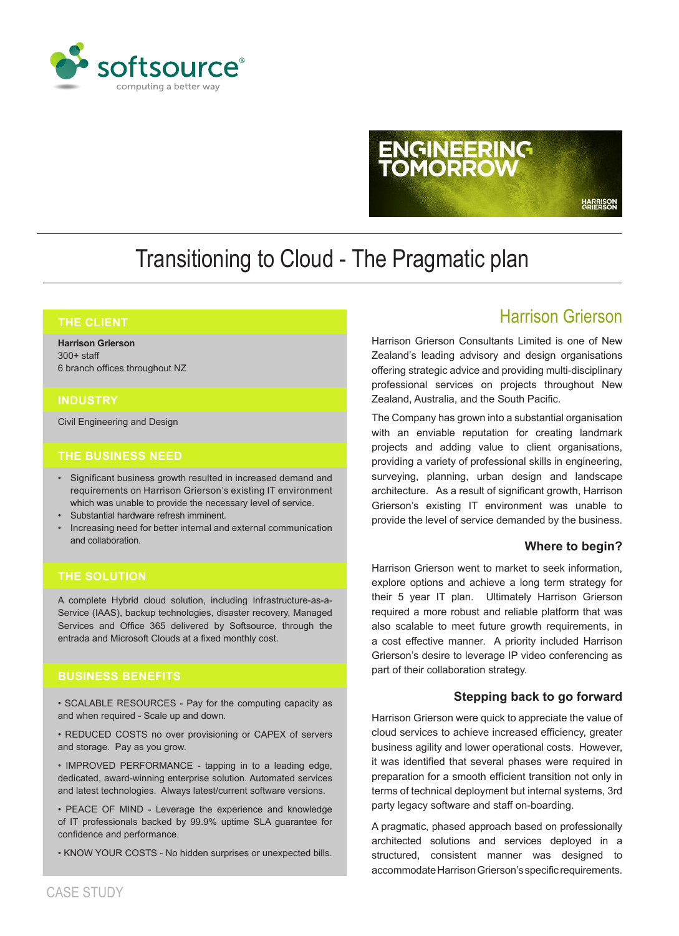

# **ENGINEERING** HARRISON<br>GRIERSON

### Transitioning to Cloud - The Pragmatic plan

#### **THE CLIENT**

**Harrison Grierson** 300+ staff 6 branch offices throughout NZ

#### **INDUSTRY**

Civil Engineering and Design

#### **THE BUSINESS NEED**

- Significant business growth resulted in increased demand and requirements on Harrison Grierson's existing IT environment which was unable to provide the necessary level of service.
- Substantial hardware refresh imminent.
- Increasing need for better internal and external communication and collaboration.

#### **THE SOLUTION**

A complete Hybrid cloud solution, including Infrastructure-as-a-Service (IAAS), backup technologies, disaster recovery, Managed Services and Office 365 delivered by Softsource, through the entrada and Microsoft Clouds at a fixed monthly cost.

#### **BUSINESS BENEFITS**

• SCALABLE RESOURCES - Pay for the computing capacity as and when required - Scale up and down.

• REDUCED COSTS no over provisioning or CAPEX of servers and storage. Pay as you grow.

• IMPROVED PERFORMANCE - tapping in to a leading edge, dedicated, award-winning enterprise solution. Automated services and latest technologies. Always latest/current software versions.

• PEACE OF MIND - Leverage the experience and knowledge of IT professionals backed by 99.9% uptime SLA guarantee for confidence and performance.

• KNOW YOUR COSTS - No hidden surprises or unexpected bills.

#### Harrison Grierson

Harrison Grierson Consultants Limited is one of New Zealand's leading advisory and design organisations offering strategic advice and providing multi-disciplinary professional services on projects throughout New Zealand, Australia, and the South Pacific.

The Company has grown into a substantial organisation with an enviable reputation for creating landmark projects and adding value to client organisations, providing a variety of professional skills in engineering, surveying, planning, urban design and landscape architecture. As a result of significant growth, Harrison Grierson's existing IT environment was unable to provide the level of service demanded by the business.

#### **Where to begin?**

Harrison Grierson went to market to seek information, explore options and achieve a long term strategy for their 5 year IT plan. Ultimately Harrison Grierson required a more robust and reliable platform that was also scalable to meet future growth requirements, in a cost effective manner. A priority included Harrison Grierson's desire to leverage IP video conferencing as part of their collaboration strategy.

#### **Stepping back to go forward**

Harrison Grierson were quick to appreciate the value of cloud services to achieve increased efficiency, greater business agility and lower operational costs. However, it was identified that several phases were required in preparation for a smooth efficient transition not only in terms of technical deployment but internal systems, 3rd party legacy software and staff on-boarding.

A pragmatic, phased approach based on professionally architected solutions and services deployed in a structured, consistent manner was designed to accommodate Harrison Grierson's specific requirements.